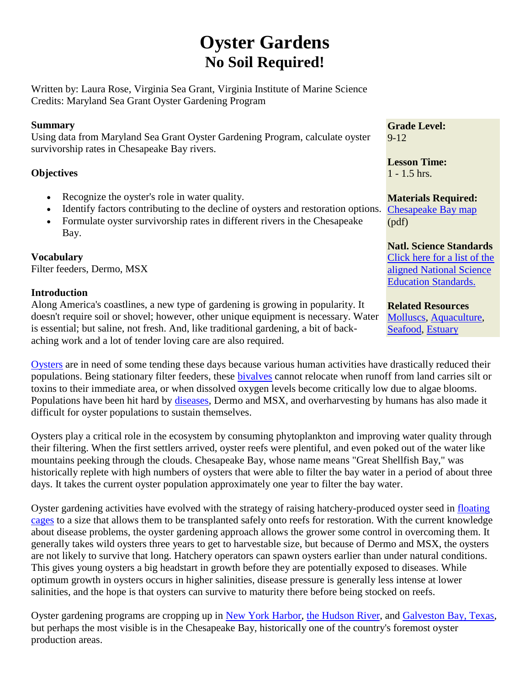# **Oyster Gardens No Soil Required!**

Written by: Laura Rose, Virginia Sea Grant, Virginia Institute of Marine Science Credits: Maryland Sea Grant Oyster Gardening Program

## **Summary**

Using data from Maryland Sea Grant Oyster Gardening Program, calculate oyster survivorship rates in Chesapeake Bay rivers.

## **Objectives**

- Recognize the oyster's role in water quality.
- Identify factors contributing to the decline of oysters and restoration options.
- Formulate oyster survivorship rates in different rivers in the Chesapeake Bay.

**Vocabulary** Filter feeders, Dermo, MSX

## **Introduction**

Along America's coastlines, a new type of gardening is growing in popularity. It doesn't require soil or shovel; however, other unique equipment is necessary. Water is essential; but saline, not fresh. And, like traditional gardening, a bit of backaching work and a lot of tender loving care are also required.

[Oysters](http://www.chesapeakebay.net/info/american_oyster.cfm) are in need of some tending these days because various human activities have drastically reduced their populations. Being stationary filter feeders, these [bivalves](http://www.assateague.com/nt-bival.html) cannot relocate when runoff from land carries silt or toxins to their immediate area, or when dissolved oxygen levels become critically low due to algae blooms. Populations have been hit hard by [diseases,](http://www.mdsg.umd.edu/oysters/disease/index.html) Dermo and MSX, and overharvesting by humans has also made it difficult for oyster populations to sustain themselves.

Oysters play a critical role in the ecosystem by consuming phytoplankton and improving water quality through their filtering. When the first settlers arrived, oyster reefs were plentiful, and even poked out of the water like mountains peeking through the clouds. Chesapeake Bay, whose name means "Great Shellfish Bay," was historically replete with high numbers of oysters that were able to filter the bay water in a period of about three days. It takes the current oyster population approximately one year to filter the bay water.

Oyster gardening activities have evolved with the strategy of raising hatchery-produced oyster seed in [floating](http://www.mdsg.umd.edu/oysters/garden/start.html)  [cages](http://www.mdsg.umd.edu/oysters/garden/start.html) to a size that allows them to be transplanted safely onto reefs for restoration. With the current knowledge about disease problems, the oyster gardening approach allows the grower some control in overcoming them. It generally takes wild oysters three years to get to harvestable size, but because of Dermo and MSX, the oysters are not likely to survive that long. Hatchery operators can spawn oysters earlier than under natural conditions. This gives young oysters a big headstart in growth before they are potentially exposed to diseases. While optimum growth in oysters occurs in higher salinities, disease pressure is generally less intense at lower salinities, and the hope is that oysters can survive to maturity there before being stocked on reefs.

Oyster gardening programs are cropping up in [New York Harbor,](http://sailnortheast.com/Sm00articles/oyster_gardening.html) [the Hudson River,](http://www.riverproject.org/research_07Oyster.php) and [Galveston Bay, Texas,](http://www.coastalamerica.gov/index.php?option=com_content&view=article&id=1513%3Acwrpoysterhtml&catid=14%3Acorporate-wetlands-restoration-partnership&Itemid=172) but perhaps the most visible is in the Chesapeake Bay, historically one of the country's foremost oyster production areas.

**Grade Level:**  $9 - 12$ 

**Lesson Time:**  1 - 1.5 hrs.

**Materials Required:** [Chesapeake Bay map](http://www.vims.edu/bridge/oystergarden.pdf) (pdf)

# **Natl. Science Standards**

[Click here for a list of the](javascript:poptastic()  [aligned National Science](javascript:poptastic()  [Education Standards.](javascript:poptastic()

## **Related Resources**

[Molluscs,](http://www2.vims.edu/bridge/search/bridge1output_menu.cfm?q=mollusc) [Aquaculture,](http://www2.vims.edu/bridge/search/bridge1output_menu.cfm?q=aquaculture) [Seafood,](http://www2.vims.edu/bridge/search/bridge1output_menu.cfm?q=seafood) [Estuary](http://www2.vims.edu/bridge/search/bridge1output_menu.cfm?q=estuary)